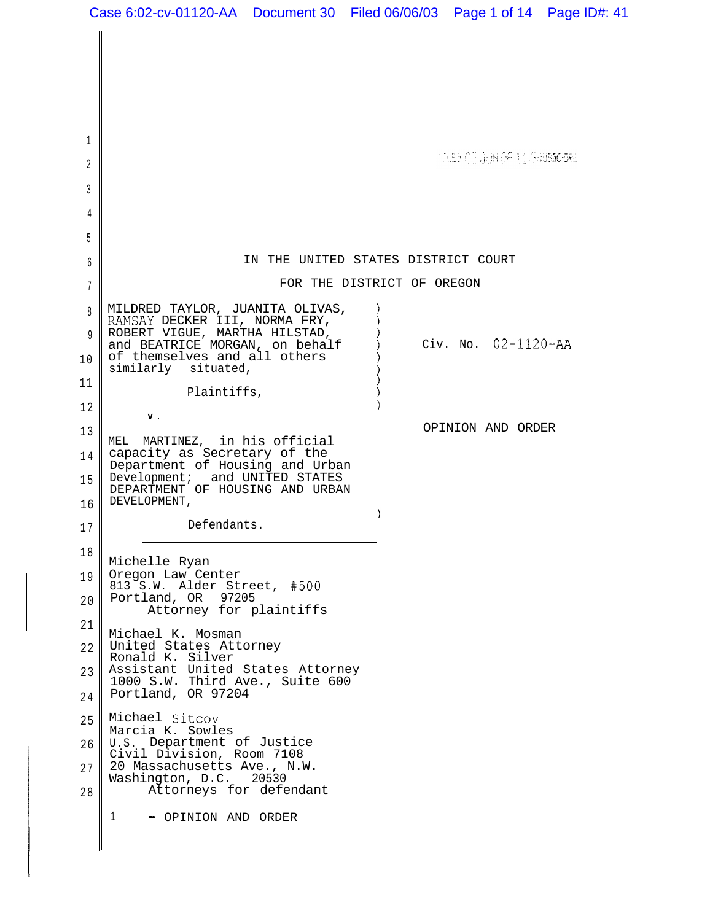1 **FILEFORDEN 06 11 GAUSDORE** 2 3 4 5 IN THE UNITED STATES DISTRICT COURT 6 FOR THE DISTRICT OF OREGON 7 MILDRED TAYLOR, JUANITA OLIVAS, 8 RAMSAY DECKER III, NORMA FRY, ROBERT VIGUE, MARTHA HILSTAD, 9 and BEATRICE MORGAN, on behalf  $\qquad$  Civ. No. 02-1120-AA of themselves and all others 1 0 similarly situated, 1 1 Plaintiffs, 1 2 1 **V .** OPINION AND ORDER 1 3 MEL MARTINEZ, in his official capacity as Secretary of the 1 4 Department of Housing and Urban Development; and UNITED STATES 1 5 DEPARTMENT OF HOUSING AND URBAN DEVELOPMENT, 16  $\lambda$ Defendants. 1 7 1 8 Michelle Ryan Oregon Law Center 1 9 813 S.W. Alder Street, #500 Portland, OR 97205 20 Attorney for plaintiffs 21 Michael K. Mosman United States Attorney 22 Ronald K. Silver Assistant United States Attorney 23 1000 S.W. Third Ave., Suite 600 Portland, OR 97204 2 4 Michael Sitcov 25 Marcia K. Sowles U.S. Department of Justice 26 Civil Division, Room 7108 20 Massachusetts Ave., N.W.<br>Washington, D.C. 20530 2 7 Washington, D.C. Attorneys for defendant 2 8 1 - OPINION AND ORDER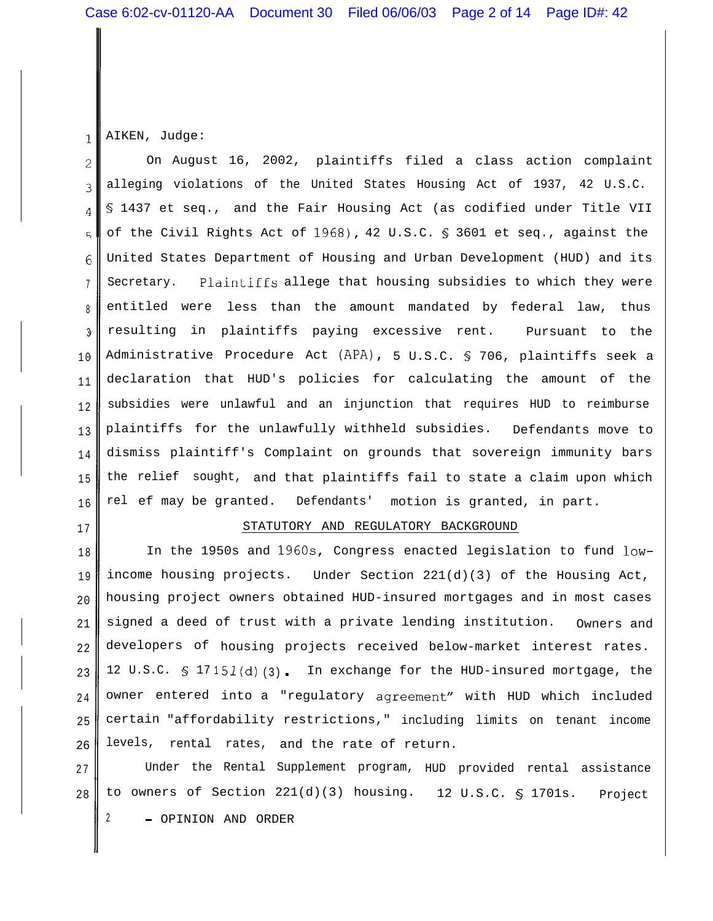AIKEN, Judge:  $\mathbf{1}$ 

On August 16, 2002, plaintiffs filed a class action complaint  $\mathcal{D}$ alleging violations of the United States Housing Act of 1937, 42 U.S.C. 3 § 1437 et seq., and the Fair Housing Act (as codified under Title VII  $\overline{4}$ of the Civil Rights Act of 1968), 42 U.S.C. § 3601 et seq., against the  $\sqrt{2}$ United States Department of Housing and Urban Development (HUD) and its  $6\phantom{1}6$ Secretary. Plaintiffs allege that housing subsidies to which they were 7 entitled were less than the amount mandated by federal law, thus 8 resulting in plaintiffs paying excessive rent. Pursuant to the 3 Administrative Procedure Act (APA), 5 U.S.C. § 706, plaintiffs seek a 1 0 declaration that HUD's policies for calculating the amount of the 1 1 subsidies were unlawful and an injunction that requires HUD to reimburse 1 2 plaintiffs for the unlawfully withheld subsidies. Defendants move to 1 3 dismiss plaintiff's Complaint on grounds that sovereign immunity bars 1 4 1 5 the relief sought, and that plaintiffs fail to state a claim upon which rel ef may be granted. Defendants' motion is granted, in part. 1 6

1 7

## STATUTORY AND REGULATORY BACKGROUND

1 8 1 9 20 21 22 23 2 4 25 26 In the 1950s and 196Os, Congress enacted legislation to fund lowincome housing projects. Under Section 221(d)(3) of the Housing Act, housing project owners obtained HUD-insured mortgages and in most cases signed a deed of trust with a private lending institution. Owners and developers of housing projects received below-market interest rates. 12 U.S.C.  $S$  17151(d) (3). In exchange for the HUD-insured mortgage, the owner entered into a "regulatory agreement" with HUD which included certain "affordability restrictions," including limits on tenant income levels, rental rates, and the rate of return.

2 7 28 Under the Rental Supplement program, HUD provided rental assistance to owners of Section 221(d)(3) housing. 12 U.S.C. § 1701s. Project <sup>2</sup> - OPINION AND ORDER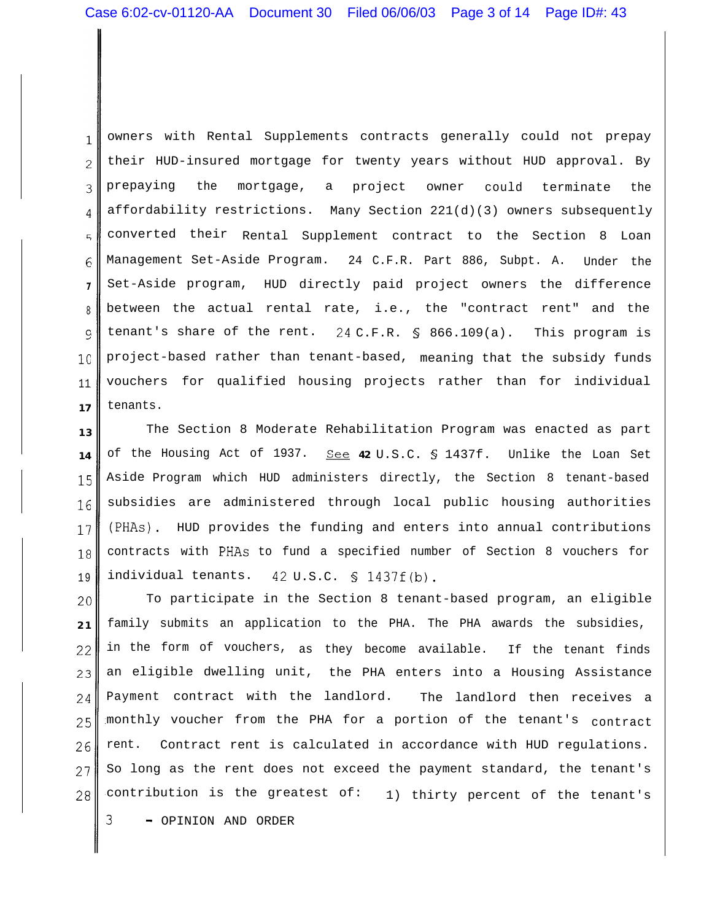owners with Rental Supplements contracts generally could not prepay  $\mathbf{1}$ their HUD-insured mortgage for twenty years without HUD approval. By  $\overline{2}$ prepaying the mortgage, a project owner could terminate the 3 affordability restrictions. Many Section 221(d)(3) owners subsequently  $\overline{4}$ converted their Rental Supplement contract to the Section 8 Loan  $\overline{a}$ Management Set-Aside Program. 24 C.F.R. Part 886, Subpt. A. Under the  $6 \overline{6}$ Set-Aside program, HUD directly paid project owners the difference **7** between the actual rental rate, i.e., the "contract rent" and the 8 tenant's share of the rent. 24 C.F.R. § 866.109(a). This program is 9 project-based rather than tenant-based, meaning that the subsidy funds  $1<sub>0</sub>$ vouchers for qualified housing projects rather than for individual 11 tenants. **17**

**13 14** 15 16 17 18 1 9 The Section 8 Moderate Rehabilitation Program was enacted as part of the Housing Act of 1937. See **42** U.S.C. § 1437f. Unlike the Loan Set Aside Program which HUD administers directly, the Section 8 tenant-based subsidies are administered through local public housing authorities (PHAs). HUD provides the funding and enters into annual contributions contracts with PHAs to fund a specified number of Section 8 vouchers for individual tenants. 42 U.S.C. § 1437f(b).

20 **2 1** 22 23 24 25 26 27 28 To participate in the Section 8 tenant-based program, an eligible family submits an application to the PHA. The PHA awards the subsidies, in the form of vouchers, as they become available. If the tenant finds an eligible dwelling unit, the PHA enters into a Housing Assistance Payment contract with the landlord. The landlord then receives a monthly voucher from the PHA for a portion of the tenant's contract rent. Contract rent is calculated in accordance with HUD regulations. So long as the rent does not exceed the payment standard, the tenant's contribution is the greatest of: 1) thirty percent of the tenant's

<sup>3</sup> - OPINION AND ORDER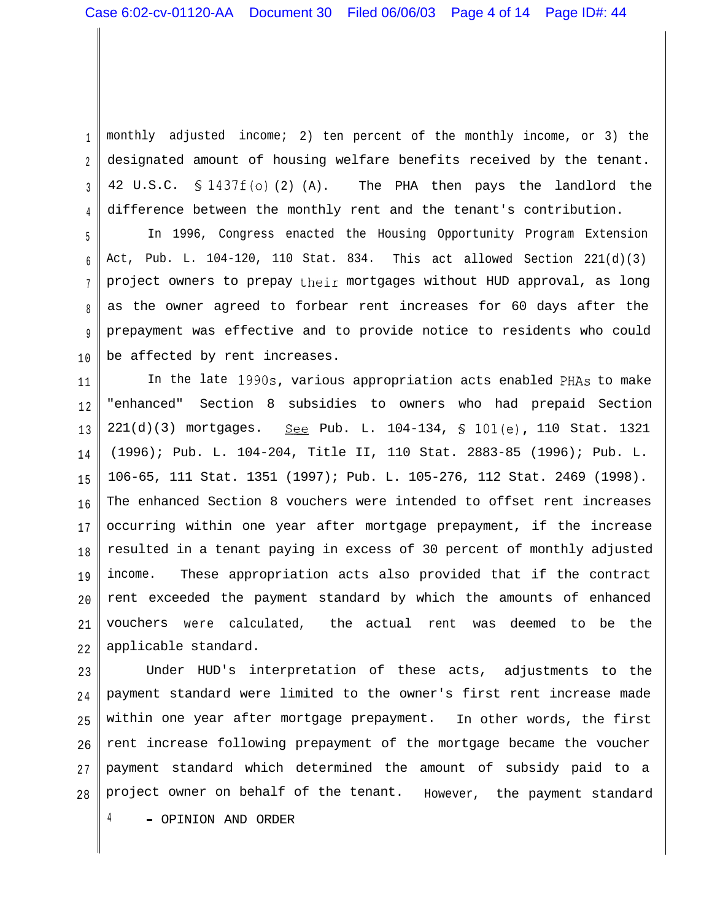1 2 3 4 monthly adjusted income; 2) ten percent of the monthly income, or 3) the designated amount of housing welfare benefits received by the tenant. 42 U.S.C.  $\frac{1437f(0)}{2}$  (A). The PHA then pays the landlord the difference between the monthly rent and the tenant's contribution.

5 6 7 8 9 1 0 In 1996, Congress enacted the Housing Opportunity Program Extension Act, Pub. L. 104-120, 110 Stat. 834. This act allowed Section 221(d)(3) project owners to prepay their mortgages without HUD approval, as long as the owner agreed to forbear rent increases for 60 days after the prepayment was effective and to provide notice to residents who could be affected by rent increases.

1 1 1 2 1 3 1 4 1 5 1 6 1 7 1 8 1 9 20 21 22 In the late 199Os, various appropriation acts enabled PHAs to make "enhanced" Section 8 subsidies to owners who had prepaid Section 221(d)(3) mortgages. See Pub. L. 104-134, § 101(e), 110 Stat. 1321 (1996); Pub. L. 104-204, Title II, 110 Stat. 2883-85 (1996); Pub. L. 106-65, 111 Stat. 1351 (1997); Pub. L. 105-276, 112 Stat. 2469 (1998). The enhanced Section 8 vouchers were intended to offset rent increases occurring within one year after mortgage prepayment, if the increase resulted in a tenant paying in excess of 30 percent of monthly adjusted income. These appropriation acts also provided that if the contract rent exceeded the payment standard by which the amounts of enhanced vouchers were calculated, the actual rent was deemed to be the applicable standard.

23 2 4 25 26 2 7 28 Under HUD's interpretation of these acts, adjustments to the payment standard were limited to the owner's first rent increase made within one year after mortgage prepayment. In other words, the first rent increase following prepayment of the mortgage became the voucher payment standard which determined the amount of subsidy paid to a project owner on behalf of the tenant. However, the payment standard <sup>4</sup> - OPINION AND ORDER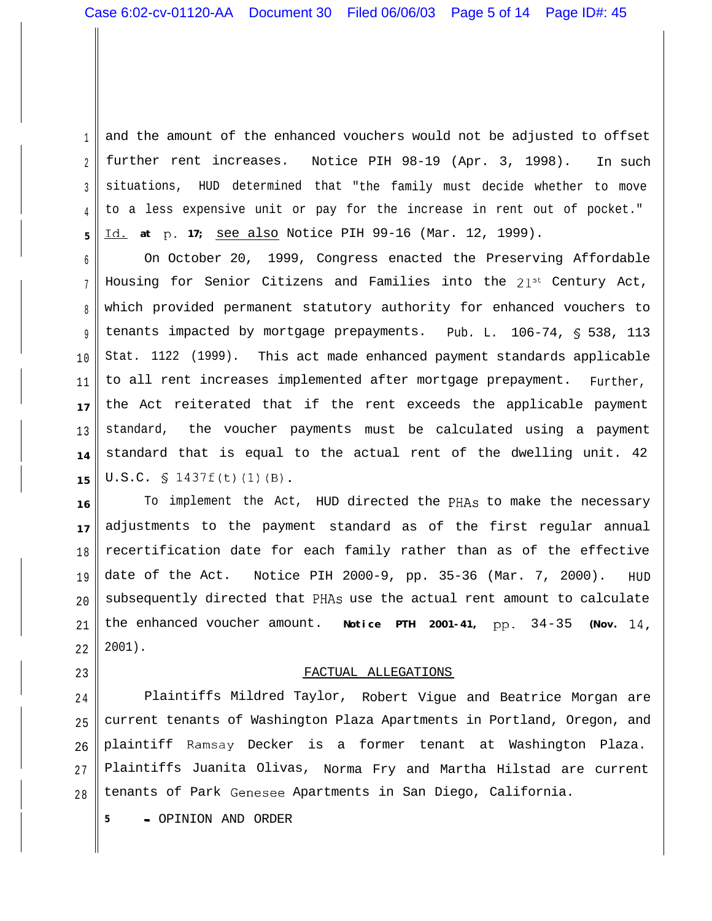1  $\overline{2}$ 3 4 **5** and the amount of the enhanced vouchers would not be adjusted to offset further rent increases. Notice PIH 98-19 (Apr. 3, 1998). In such situations, HUD determined that "the family must decide whether to move to a less expensive unit or pay for the increase in rent out of pocket." Id. at p. 17; see also Notice PIH 99-16 (Mar. 12, 1999).

6 7 8 9 1 0 11 **17** 1 3 **14 15** On October 20, 1999, Congress enacted the Preserving Affordable Housing for Senior Citizens and Families into the 21<sup>st</sup> Century Act, which provided permanent statutory authority for enhanced vouchers to tenants impacted by mortgage prepayments. Pub. L. 106-74, § 538, 113 Stat. 1122 (1999). This act made enhanced payment standards applicable to all rent increases implemented after mortgage prepayment. Further, the Act reiterated that if the rent exceeds the applicable payment standard, the voucher payments must be calculated using a payment standard that is equal to the actual rent of the dwelling unit. 42 U.S.C.  $\S$  1437f(t)(1)(B).

**16 17** 1 8 1 9 20 21 22 To implement the Act, HUD directed the PHAs to make the necessary adjustments to the payment standard as of the first regular annual recertification date for each family rather than as of the effective date of the Act. Notice PIH 2000-9, pp. 35-36 (Mar. 7, 2000). HUD subsequently directed that PHAs use the actual rent amount to calculate the enhanced voucher amount. **Notice PTH 2001-41,** pp.  $34-35$  (Nov.  $14$ , 2001).

## FACTUAL ALLEGATIONS

2 4 25 26 2 7 2 8 Plaintiffs Mildred Taylor, Robert Vigue and Beatrice Morgan are current tenants of Washington Plaza Apartments in Portland, Oregon, and plaintiff Ramsay Decker is a former tenant at Washington Plaza. Plaintiffs Juanita Olivas, Norma Fry and Martha Hilstad are current tenants of Park Genesee Apartments in San Diego, California.

**<sup>5</sup>** - OPINION AND ORDER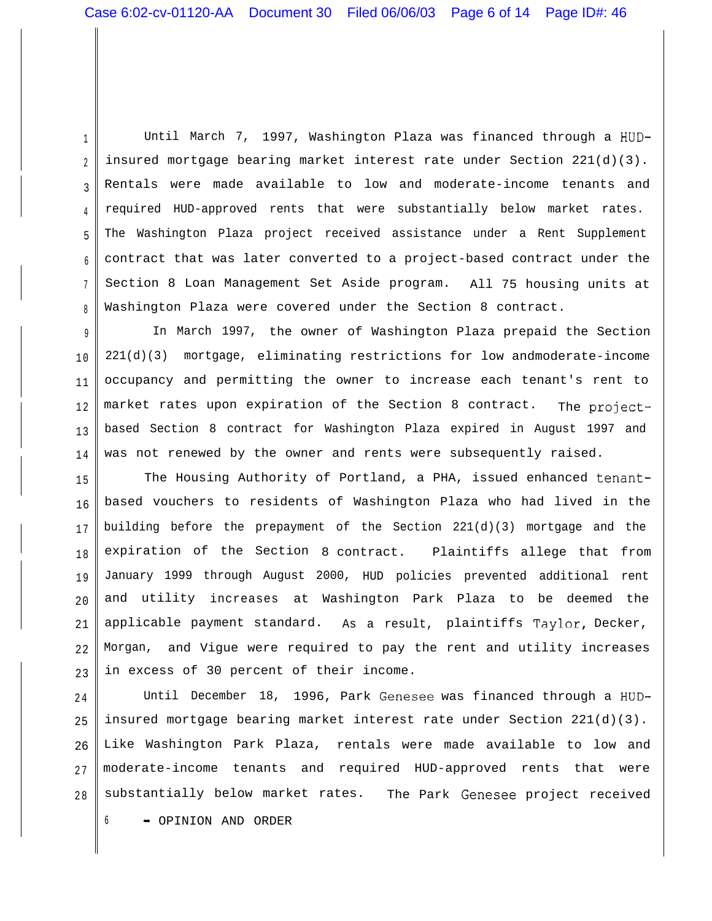1 2 3 4 5 6 7 8 Until March 7, 1997, Washington Plaza was financed through a HUDinsured mortgage bearing market interest rate under Section 221(d)(3). Rentals were made available to low and moderate-income tenants and required HUD-approved rents that were substantially below market rates. The Washington Plaza project received assistance under a Rent Supplement contract that was later converted to a project-based contract under the Section 8 Loan Management Set Aside program. All 75 housing units at Washington Plaza were covered under the Section 8 contract.

9 1 0 11 1 2 1 3 1 4 In March 1997, the owner of Washington Plaza prepaid the Section 221(d)(3) mortgage, eliminating restrictions for low andmoderate-income occupancy and permitting the owner to increase each tenant's rent to market rates upon expiration of the Section 8 contract. The projectbased Section 8 contract for Washington Plaza expired in August 1997 and was not renewed by the owner and rents were subsequently raised.

1 5 16 1 7 1 8 1 9 20 21 22 23 The Housing Authority of Portland, a PHA, issued enhanced tenantbased vouchers to residents of Washington Plaza who had lived in the building before the prepayment of the Section 221(d)(3) mortgage and the expiration of the Section 8 contract. Plaintiffs allege that from January 1999 through August 2000, HUD policies prevented additional rent and utility increases at Washington Park Plaza to be deemed the applicable payment standard. As a result, plaintiffs Taylor, Decker, Morgan, and Vigue were required to pay the rent and utility increases in excess of 30 percent of their income.

2 4 25 26 2 7 2 8 Until December 18, 1996, Park Genesee was financed through a HUDinsured mortgage bearing market interest rate under Section 221(d)(3). Like Washington Park Plaza, rentals were made available to low and moderate-income tenants and required HUD-approved rents that were substantially below market rates. The Park Genesee project received

<sup>6</sup> - OPINION AND ORDER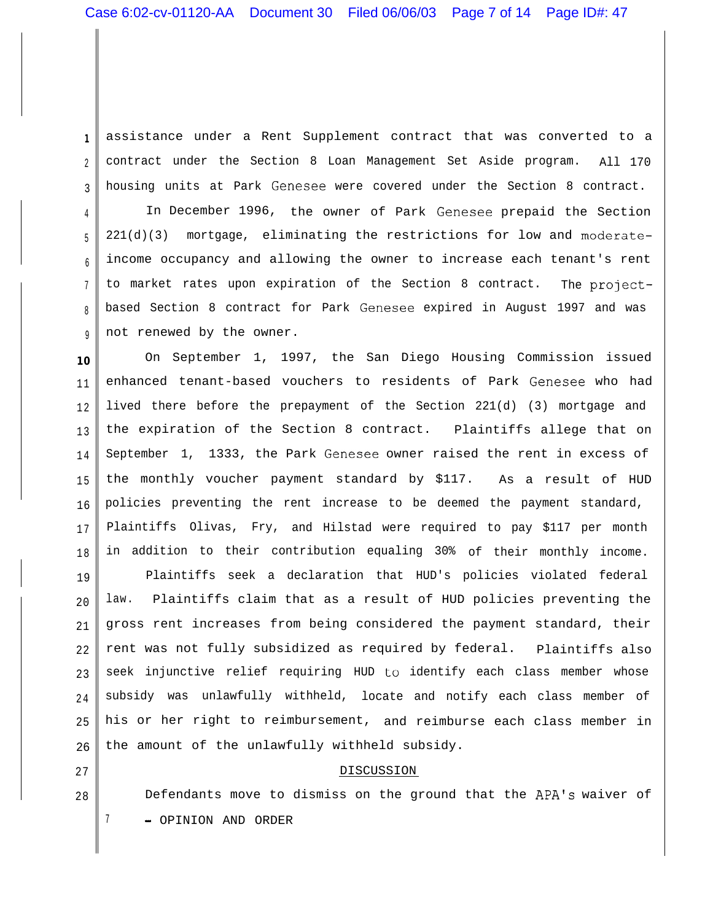assistance under a Rent Supplement contract that was converted to a contract under the Section 8 Loan Management Set Aside program. All 170 housing units at Park Genesee were covered under the Section 8 contract.

6 9 In December 1996, the owner of Park Genesee prepaid the Section 221(d)(3) mortgage, eliminating the restrictions for low and moderateincome occupancy and allowing the owner to increase each tenant's rent to market rates upon expiration of the Section 8 contract. The projectbased Section 8 contract for Park Genesee expired in August 1997 and was not renewed by the owner.

**1 0** 1 1 1 2 1 3 1 4 1 5 16 1 7 1 8 On September 1, 1997, the San Diego Housing Commission issued enhanced tenant-based vouchers to residents of Park Genesee who had lived there before the prepayment of the Section 221(d) (3) mortgage and the expiration of the Section 8 contract. Plaintiffs allege that on September 1, 1333, the Park Genesee owner raised the rent in excess of the monthly voucher payment standard by \$117. As a result of HUD policies preventing the rent increase to be deemed the payment standard, Plaintiffs Olivas, Fry, and Hilstad were required to pay \$117 per month in addition to their contribution equaling 30% of their monthly income.

19 20 21 22 23 2 4 25 26 Plaintiffs seek a declaration that HUD's policies violated federal law. Plaintiffs claim that as a result of HUD policies preventing the gross rent increases from being considered the payment standard, their rent was not fully subsidized as required by federal. Plaintiffs also seek injunctive relief requiring HUD to identify each class member whose subsidy was unlawfully withheld, locate and notify each class member of his or her right to reimbursement, and reimburse each class member in the amount of the unlawfully withheld subsidy.

## DISCUSSION

Defendants move to dismiss on the ground that the APA's waiver of 7 - OPINION AND ORDER

27 28

**1**

2

3

4

5

7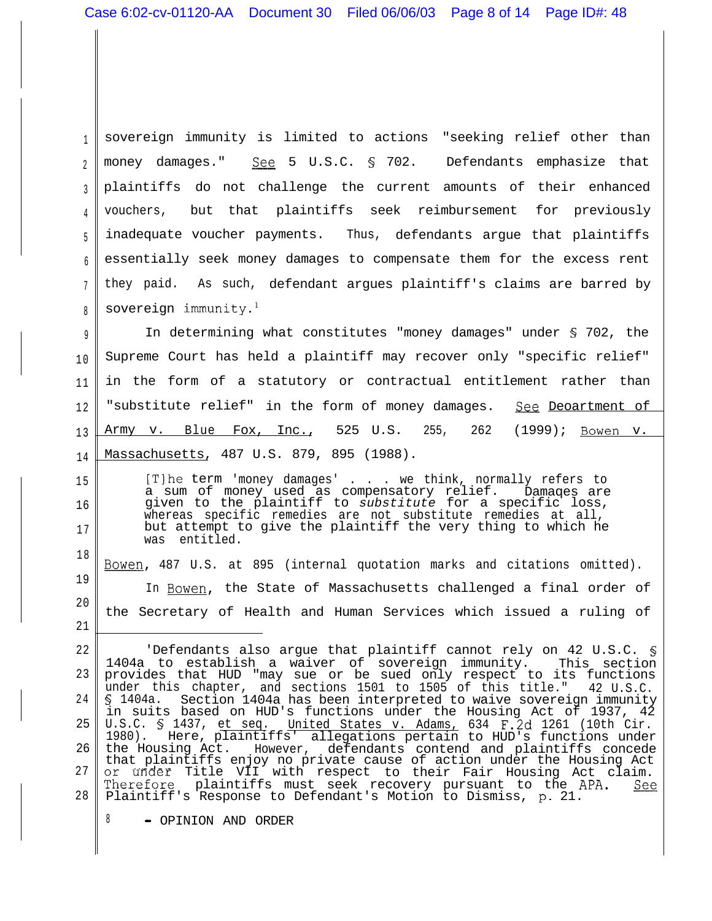1 2 3 4 5 6 7 8 sovereign immunity is limited to actions "seeking relief other than money damages." See 5 U.S.C. 5 702. Defendants emphasize that plaintiffs do not challenge the current amounts of their enhanced vouchers, but that plaintiffs seek reimbursement for previously inadequate voucher payments. Thus, defendants argue that plaintiffs essentially seek money damages to compensate them for the excess rent they paid. As such, defendant argues plaintiff's claims are barred by sovereign immunity. $l$ 

9 1 0 1 1 1 2 1 3 14 In determining what constitutes "money damages" under § 702, the Supreme Court has held a plaintiff may recover only "specific relief" in the form of a statutory or contractual entitlement rather than "substitute relief" in the form of money damages. See Deoartment of Army v. Blue Fox, Inc., 525 U.S. 255, 262 (1999); Bowen v. Massachusetts, 487 U.S. 879, 895 (1988).

[T]he term 'money damages' . . . we think, normally refers to a sum of money used as compensatory relief. Damaqes are given to the plaintiff to *substitute* for a specific loss, whereas specific remedies are not substitute remedies at all, but attempt to give the plaintiff the very thing to which he was entitled.

1 8 19 20 21 Bowen, 487 U.S. at 895 (internal quotation marks and citations omitted). In Bowen, the State of Massachusetts challenged a final order of the Secretary of Health and Human Services which issued a ruling of

22 23 2 4 25 26 27 28 'Defendants also argue that plaintiff cannot rely on 42 U.S.C. § 1404a to establish a waiver of sovereign immunity. This section provides that HUD "may sue or be sued only respect to its functions under this chapter, and sections 1501 to 1505 of this title." 42 U.S.C. § 1404a. Section 1404a has been interpreted to waive sovereign immunity in suits based on HUD's functions under the Housing Act of 1937, 42<br>U.S.C. § 1437, et seq. United States v. Adams, 634 F.2d 1261 (10th Cir. U.S.C. § 1437, et seq. United States v. Adams, 634 F.2d 1261 (10th Cir. 1980). Here, plaintiffs' allegations pertain to HUD's functions under the Housing Act. However, defendants contend and plaintiffs concede that plaintiffs enjoy no private cause of action under the Housing Act under Title VII with respect to their Fair Housing Act claim. Therefore plaintiffs must seek recovery pursuant to the APA. Plaintiff's Response to Defendant's Motion to Dismiss, p- 21. See

<sup>8</sup> - OPINION AND ORDER

1 5

16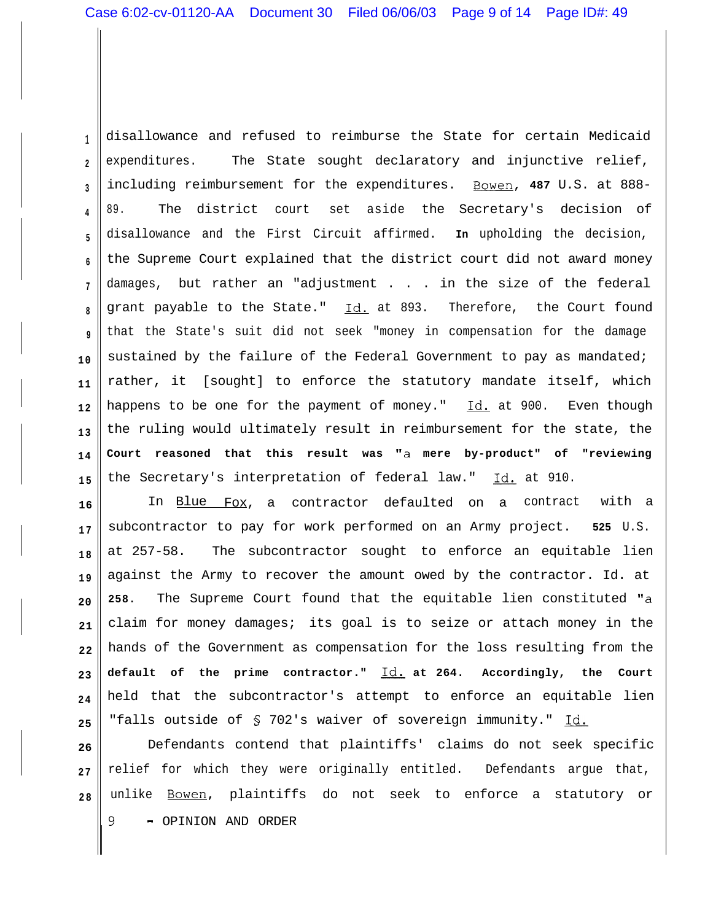1 **2 3 4 5 6 7 8 9 1 0 1 1 1 2 1 3 1 4 1 5** disallowance and refused to reimburse the State for certain Medicaid expenditures. The State sought declaratory and injunctive relief, including reimbursement for the expenditures. Bowen, **487** U.S. at 888- 89. The district court set aside the Secretary's decision of disallowance and the First Circuit affirmed. **In** upholding the decision, the Supreme Court explained that the district court did not award money damages, but rather an "adjustment . . . in the size of the federal grant payable to the State." Id. at 893. Therefore, the Court found that the State's suit did not seek "money in compensation for the damage sustained by the failure of the Federal Government to pay as mandated; rather, it [sought] to enforce the statutory mandate itself, which happens to be one for the payment of money."  $Id.$  at 900. Even though the ruling would ultimately result in reimbursement for the state, the **Court reasoned that this result was "a mere by-product" of "reviewing** the Secretary's interpretation of federal law." Id. at 910.

**16 1 7 1 8 1 9 20 21 22 23 2 4 25** In Blue Fox, a contractor defaulted on a contract with a subcontractor to pay for work performed on an Army project. **525** U.S. at 257-58. The subcontractor sought to enforce an equitable lien against the Army to recover the amount owed by the contractor. Id. at **258.** The Supreme Court found that the equitable lien constituted "a claim for money damages; its goal is to seize or attach money in the hands of the Government as compensation for the loss resulting from the **default of the prime contractor." Id. at 264. Accordingly, the Court** held that the subcontractor's attempt to enforce an equitable lien "falls outside of § 702's waiver of sovereign immunity." Id.

**26 2 7 2 8** Defendants contend that plaintiffs' claims do not seek specific relief for which they were originally entitled. Defendants argue that, unlike Bowen, plaintiffs do not seek to enforce a statutory or 9 - OPINION AND ORDER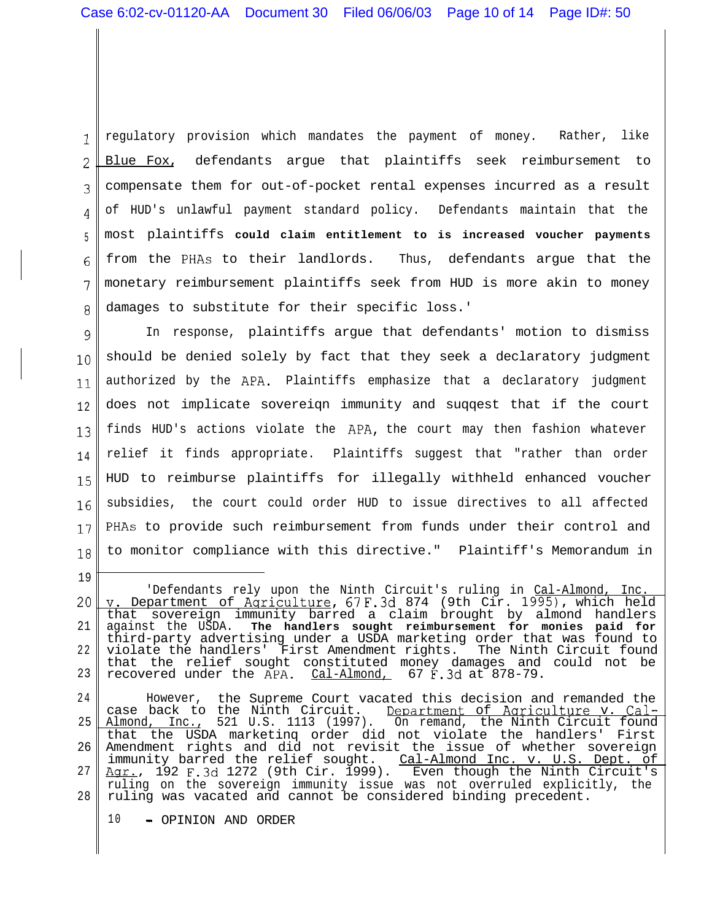1 .L 2 3 4 5 6 7 8 regulatory provision which mandates the payment of money. Rather, like Blue Fox, defendants argue that plaintiffs seek reimbursement to compensate them for out-of-pocket rental expenses incurred as a result of HUD's unlawful payment standard policy. Defendants maintain that the most plaintiffs **could claim entitlement to is increased voucher payments** from the PHAs to their landlords. Thus, defendants argue that the monetary reimbursement plaintiffs seek from HUD is more akin to money damages to substitute for their specific loss.'

9 10 11 1 2 13 1 4 15 16 17 18 In response, plaintiffs argue that defendants' motion to dismiss should be denied solely by fact that they seek a declaratory judgment authorized by the APA. Plaintiffs emphasize that a declaratory judgment does not implicate sovereiqn immunity and suqqest that if the court finds HUD's actions violate the APA, the court may then fashion whatever relief it finds appropriate. Plaintiffs suggest that "rather than order HUD to reimburse plaintiffs for illegally withheld enhanced voucher subsidies, the court could order HUD to issue directives to all affected PHAs to provide such reimbursement from funds under their control and to monitor compliance with this directive." Plaintiff's Memorandum in

20 21 2 2 23 'Defendants rely upon the Ninth Circuit's ruling in Cal-Almond, Inc. **V.** Department of Aqriculture, 67 F.3d 874 (9th Cir. 1995), which held that sovereign immunity barred a claim brought by almond handlers against the USDA. **The handlers sought reimbursement for monies paid for** third-party advertising under a USDA marketing order that was found to violate the handlers' First Amendment rights. The Ninth Circuit found that the relief sought constituted money damages and could not be recovered under the APA. <u>Cal-Almond,</u> 67 F.3d at 878-79.

2 4 25 26 27 28 However, the Supreme Court vacated this decision and remanded the case back to the Ninth Circuit. Department of Agriculture v. Cal-Almond, Inc., 521 U.S. 1113 (1997). On remand, the Ninth Circuit found that the USDA marketinq order did not violate the handlers' First Amendment rights and did not revisit the issue of whether sovereign immunity barred the relief sought. Cal-Almond Inc. v. U.S. Dept. of <u>Agr.</u>, 192 F.3d 1272 (9th Cir. 1999). Even though the Ninth Circuit's ruling on the sovereign immunity issue was not overruled explicitly, the ruling was vacated and cannot be considered binding precedent.

10 - OPINION AND ORDER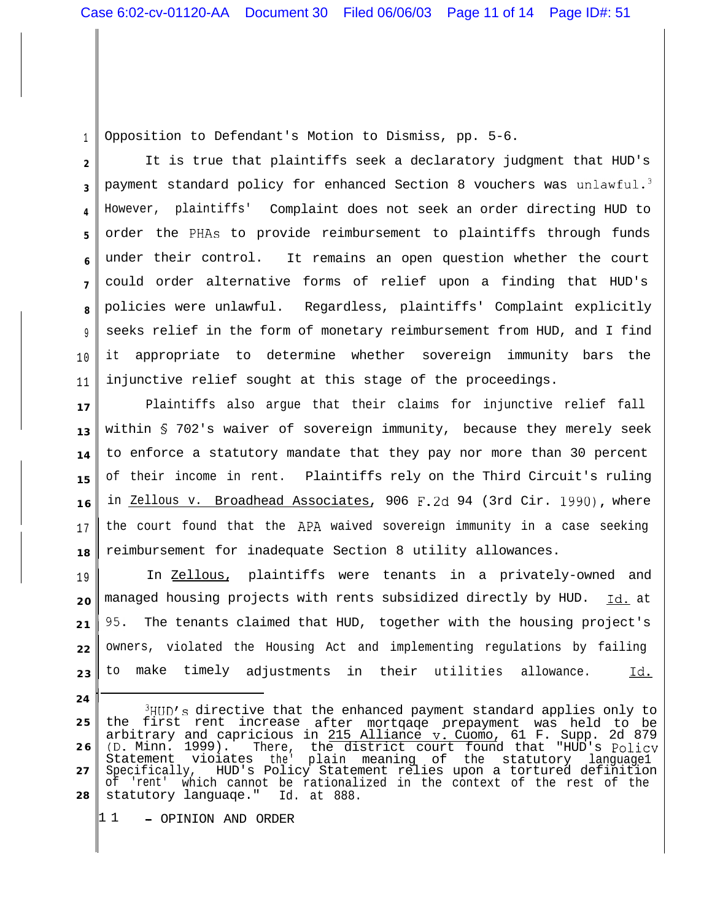1 Opposition to Defendant's Motion to Dismiss, pp. 5-6.

**24**

**2 3 4 5 6 7 8** 9 1 0 1 1 It is true that plaintiffs seek a declaratory judgment that HUD's payment standard policy for enhanced Section 8 vouchers was unlawful.<sup>3</sup> However, plaintiffs' Complaint does not seek an order directing HUD to order the PHAs to provide reimbursement to plaintiffs through funds under their control. It remains an open question whether the court could order alternative forms of relief upon a finding that HUD's policies were unlawful. Regardless, plaintiffs' Complaint explicitly seeks relief in the form of monetary reimbursement from HUD, and I find it appropriate to determine whether sovereign immunity bars the injunctive relief sought at this stage of the proceedings.

**17 13 14 15 1 6** 1 7 **18** Plaintiffs also argue that their claims for injunctive relief fall within § 702's waiver of sovereign immunity, because they merely seek to enforce a statutory mandate that they pay nor more than 30 percent of their income in rent. Plaintiffs rely on the Third Circuit's ruling in Zellous v. Broadhead Associates, 906 F.2d 94 (3rd Cir. 1990), where the court found that the APA waived sovereign immunity in a case seeking reimbursement for inadequate Section 8 utility allowances.

1 9 **2 0 2 1 22 2 3** In Zellous, plaintiffs were tenants in a privately-owned and managed housing projects with rents subsidized directly by HUD. Id. at 195. The tenants claimed that HUD, together with the housing project's owners, violated the Housing Act and implementing regulations by failing to make timely adjustments in their utilities allowance. Id.

1 1 - OPINION AND ORDER

**<sup>2 5</sup> 2 6 27 28**  $3HUD's$  directive that the enhanced payment standard applies only to the first rent increase after mortqaqe prepayment was held to be arbitrary and capricious in <u>215 Alliance v. Cuomo</u>, 61 F. Supp. 2d 879 (D. Minn. 1999). Statement There, vioiates the' plain meaning of the statutory language1 the district court found that "HUD's Policy<br>plain meaning of the statutory languagel Specifically, HUD's Policy Statement relies upon a tortured definition<br>of 'rent' which cannot be rationalized in the context of the rest of the 'rent' which cannot be rationalized in the context of the rest of the statutory languaqe." Id. at 888.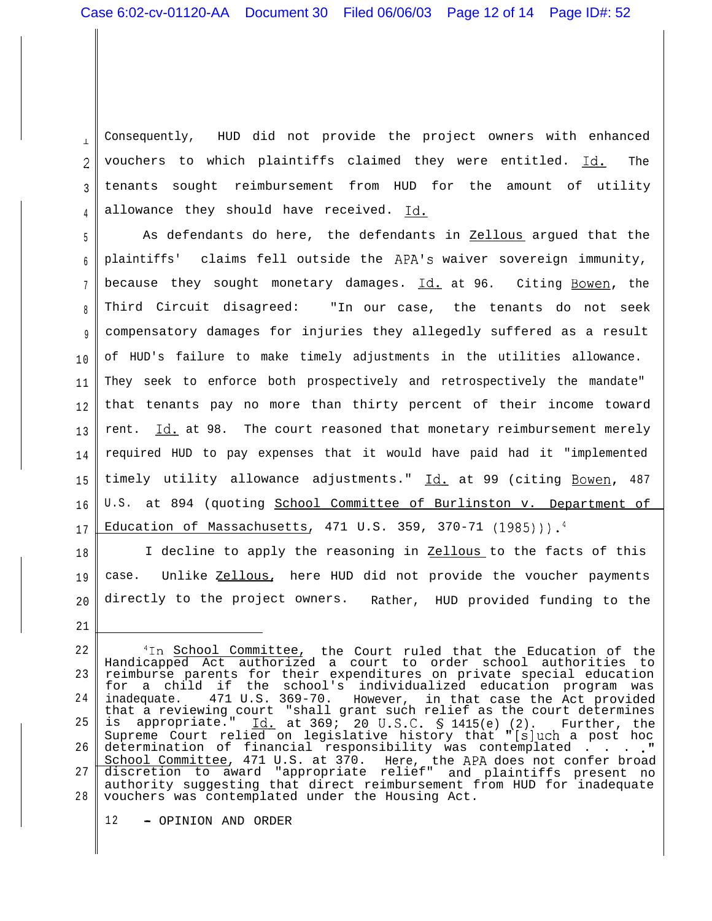$\bar{\mathbf{r}}$ 2 3 4 Consequently, HUD did not provide the project owners with enhanced vouchers to which plaintiffs claimed they were entitled. Id. The tenants sought reimbursement from HUD for the amount of utility allowance they should have received. Id.

5 6 7 8 9 1 0 1 1 1 2 1 3 1 4 1 5 1 6 1 7 As defendants do here, the defendants in Zellous argued that the plaintiffs' claims fell outside the APA's waiver sovereign immunity, because they sought monetary damages. Id. at 96. Citing Bowen, the Third Circuit disagreed: "In our case, the tenants do not seek compensatory damages for injuries they allegedly suffered as a result of HUD's failure to make timely adjustments in the utilities allowance. They seek to enforce both prospectively and retrospectively the mandate" that tenants pay no more than thirty percent of their income toward rent. Id. at 98. The court reasoned that monetary reimbursement merely required HUD to pay expenses that it would have paid had it "implemented timely utility allowance adjustments." Id. at 99 (citing Bowen, 487 U.S. at 894 (quoting School Committee of Burlinston v. Department of Education of Massachusetts, 471 U.S. 359, 370-71  $(1985)$ )).<sup>4</sup>

1 8 1 9 20 I decline to apply the reasoning in Zellous to the facts of this case. Unlike Zellous, here HUD did not provide the voucher payments directly to the project owners. Rather, HUD provided funding to the

12 - OPINION AND ORDER

<sup>22</sup> 23 2 4 25 26 27 2 8 <sup>4</sup>In <u>School Committee,</u> the Court ruled that the Education of the Handicapped Act authorized a court to order school authorities to reimburse parents for their expenditures on private special education for a child if the school's individualized education program was inadequate. 471 U.S. 369-70. However, that a reviewing court in that case the Act provided "shall grant such relief as the court determines is appropriate."  $\underline{Id.}$  at 369; 20 U.S.C. § 1415(e) (2). Further, the Supreme Court relied on legislative history that "[sluch a post hoc determination of financial responsibility was contemplated  $\dots$  . . .  $"$ School Committee, 471 U.S. at 370. Here, the APA does not confer broad discretion to award "appropriate relief" and plaintiffs present no authority suggesting that direct reimbursement from HUD for inadequate vouchers was contemplated under the Housing Act.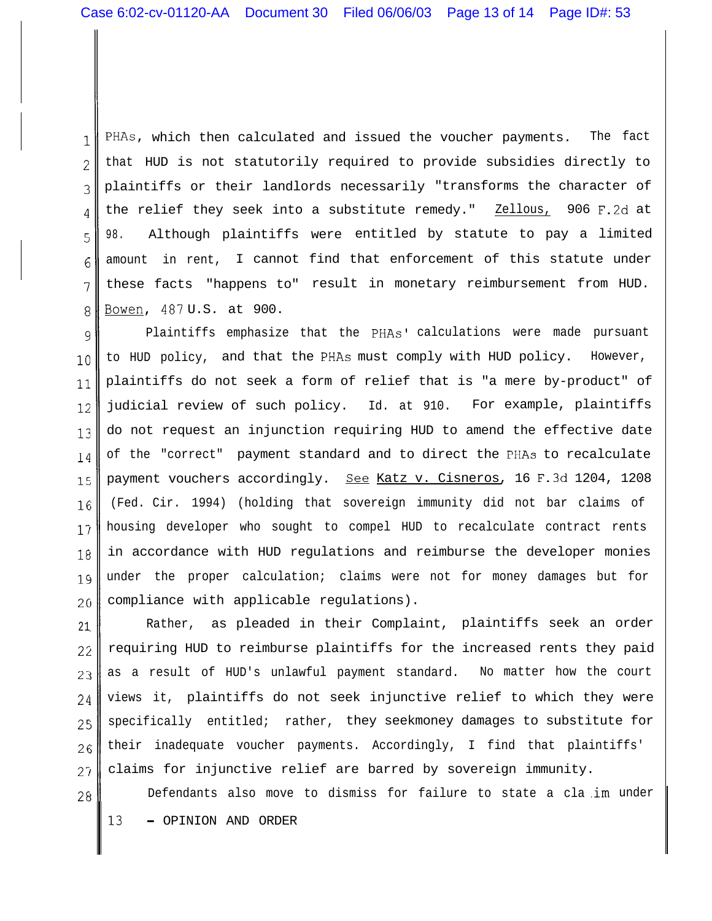1 2 3 4 5 6 7 8 PHAs, which then calculated and issued the voucher payments. The fact that HUD is not statutorily required to provide subsidies directly to plaintiffs or their landlords necessarily "transforms the character of the relief they seek into a substitute remedy." Zellous, 906 F.2d at 98. Although plaintiffs were entitled by statute to pay a limited amount in rent, I cannot find that enforcement of this statute under these facts "happens to" result in monetary reimbursement from HUD. Bowen, 487 U.S. at 900.

9 10 11 12 13 14 15 1G 15 18  $1<sub>9</sub>$ 2c Plaintiffs emphasize that the PHAs' calculations were made pursuant to HUD policy, and that the PHAs must comply with HUD policy. However, plaintiffs do not seek a form of relief that is "a mere by-product" of judicial review of such policy. Id. at 910. For example, plaintiffs do not request an injunction requiring HUD to amend the effective date of the "correct" payment standard and to direct the PHAs to recalculate payment vouchers accordingly. See Katz v. Cisneros, 16 F.3d 1204, 1208 (Fed. Cir. 1994) (holding that sovereign immunity did not bar claims of housing developer who sought to compel HUD to recalculate contract rents in accordance with HUD regulations and reimburse the developer monies under the proper calculation; claims were not for money damages but for compliance with applicable regulations).

21 22 2: 24 2: 2c  $27$ Rather, as pleaded in their Complaint, plaintiffs seek an order requiring HUD to reimburse plaintiffs for the increased rents they paid as a result of HUD's unlawful payment standard. No matter how the court views it, plaintiffs do not seek injunctive relief to which they were specifically entitled; rather, they seekmoney damages to substitute for their inadequate voucher payments. Accordingly, I find that plaintiffs' claims for injunctive relief are barred by sovereign immunity.

2f Defendants also move to dismiss for failure to state a cla .im under 13 - OPINION AND ORDER